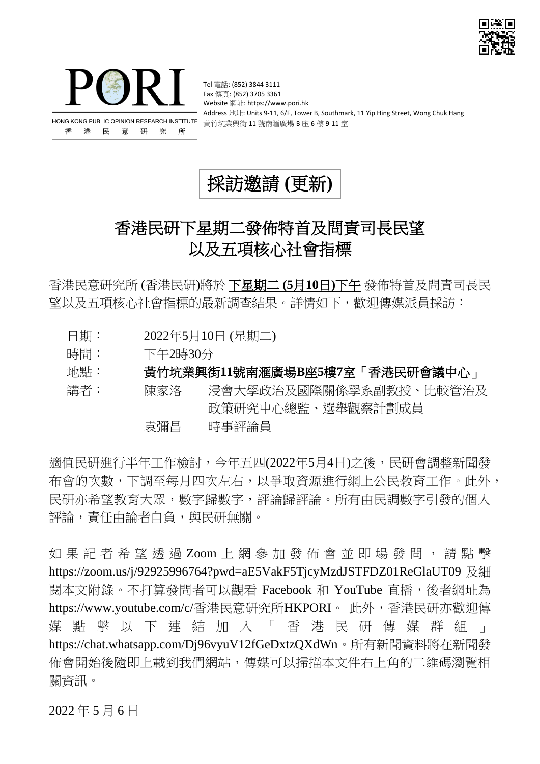



Tel 電話: (852) 3844 3111 Fax 傳真: (852) 3705 3361 Website 網址: https://www.pori.hk Address 地址: Units 9-11, 6/F, Tower B, Southmark, 11 Yip Hing Street, Wong Chuk Hang

採訪邀請 **(**更新**)**

## 香港民研下星期二發佈特首及問責司長民望 以及五項核心社會指標

香港民意研究所 (香港民研)將於 下星期二 **(5**月**10**日**)**下午 發佈特首及問責司長民 望以及五項核心社會指標的最新調查結果。詳情如下,歡迎傳媒派員採訪:

- 日期: 2022年5月10日 (星期二)
- 時間: 下午2時30分
- 地點: 黃竹坑業興街**11**號南滙廣場**B**座**5**樓**7**室「香港民研會議中心」

講者: 陳家洛 浸會大學政治及國際關係學系副教授、比較管治及 政策研究中心總監、選舉觀察計劃成員

袁彌昌 時事評論員

適值民研進行半年工作檢討,今年五四(2022年5月4日)之後,民研會調整新聞發 布會的次數,下調至每月四次左右,以爭取資源進行網上公民教育工作。此外, 民研亦希望教育大眾,數字歸數字,評論歸評論。所有由民調數字引發的個人 評論,責任由論者自負,與民研無關。

如 果 記 者 希 望 诱 渦 Zoom 上 網 參 加 發 佈 會 並 即 場 發 問 , 請 點 擊 <https://zoom.us/j/92925996764?pwd=aE5VakF5TjcyMzdJSTFDZ01ReGlaUT09> 及細 閱本文附錄。不打算發問者可以觀看 Facebook 和 YouTube 直播,後者網址為 https://www.youtube.com/c/香港民意研究所HKPORI。 此外,香港民研亦歡迎傳 媒 點 擊 以 下 連 結 加 入 「 香 港 民 研 傳 媒 群 組 <https://chat.whatsapp.com/Dj96vyuV12fGeDxtzQXdWn>。所有新聞資料將在新聞發 佈會開始後隨即上載到我們網站,傳媒可以掃描本文件右上角的二維碼瀏覽相 關資訊。

2022 年 5 月 6 日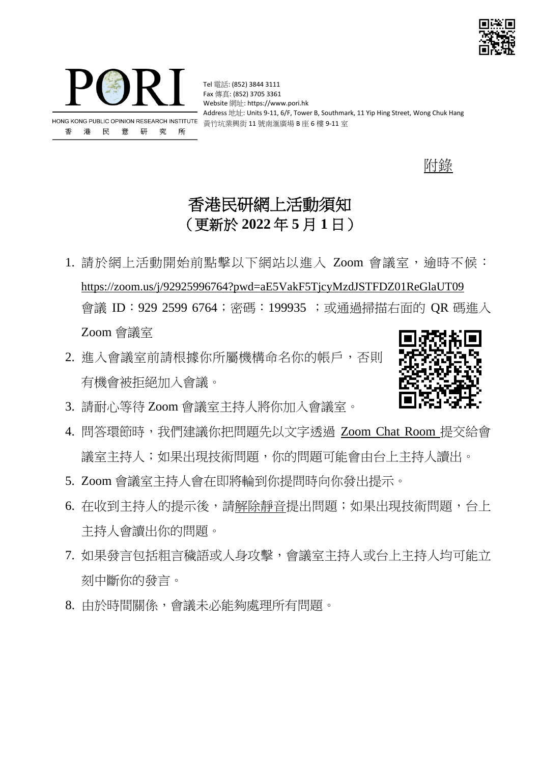



Tel 電話: (852) 3844 3111 Fax 傳真: (852) 3705 3361 Website 網址: https://www.pori.hk Address 地址: Units 9-11, 6/F, Tower B, Southmark, 11 Yip Hing Street, Wong Chuk Hang

附錄

## 香港民研網上活動須知 (更新於 **2022** 年 **5** 月 **1** 日)

- 1. 請於網上活動開始前點擊以下網站以進入 Zoom 會議室,逾時不候: <https://zoom.us/j/92925996764?pwd=aE5VakF5TjcyMzdJSTFDZ01ReGlaUT09> 會議 ID:929 2599 6764; 密碼: 199935; 或通過掃描右面的 OR 碼進入 Zoom 會議室
- 2. 進入會議室前請根據你所屬機構命名你的帳戶,否則 有機會被拒絕加入會議。



- 3. 請耐心等待 Zoom 會議室主持人將你加入會議室。
- 4. 問答環節時,我們建議你把問題先以文字透過 Zoom Chat Room 提交給會 議室主持人;如果出現技術問題,你的問題可能會由台上主持人讀出。
- 5. Zoom 會議室主持人會在即將輪到你提問時向你發出提示。
- 6. 在收到主持人的提示後,請解除靜音提出問題;如果出現技術問題,台上 主持人會讀出你的問題。
- 7. 如果發言包括粗言穢語或人身攻擊,會議室主持人或台上主持人均可能立 刻中斷你的發言。
- 8. 由於時間關係,會議未必能夠處理所有問題。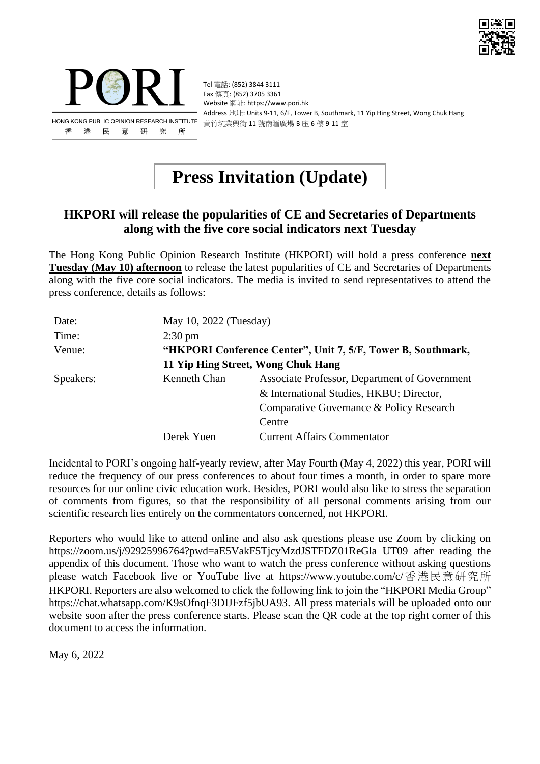



Tel 電話: (852) 3844 3111 Fax 傳真: (852) 3705 3361 Website 網址: https://www.pori.hk Address 地址: Units 9-11, 6/F, Tower B, Southmark, 11 Yip Hing Street, Wong Chuk Hang 黃竹坑業興街 11 號南滙廣場 B 座 6 樓 9-11 室

# **Press Invitation (Update)**

#### **HKPORI will release the popularities of CE and Secretaries of Departments along with the five core social indicators next Tuesday**

The Hong Kong Public Opinion Research Institute (HKPORI) will hold a press conference **next Tuesday (May 10) afternoon** to release the latest popularities of CE and Secretaries of Departments along with the five core social indicators. The media is invited to send representatives to attend the press conference, details as follows:

| Date:     | May 10, 2022 (Tuesday)                                       |                                               |
|-----------|--------------------------------------------------------------|-----------------------------------------------|
| Time:     | $2:30 \text{ pm}$                                            |                                               |
| Venue:    | "HKPORI Conference Center", Unit 7, 5/F, Tower B, Southmark, |                                               |
|           | 11 Yip Hing Street, Wong Chuk Hang                           |                                               |
| Speakers: | Kenneth Chan                                                 | Associate Professor, Department of Government |
|           |                                                              | & International Studies, HKBU; Director,      |
|           |                                                              | Comparative Governance & Policy Research      |
|           |                                                              | Centre                                        |
|           | Derek Yuen                                                   | <b>Current Affairs Commentator</b>            |

Incidental to PORI's ongoing half-yearly review, after May Fourth (May 4, 2022) this year, PORI will reduce the frequency of our press conferences to about four times a month, in order to spare more resources for our online civic education work. Besides, PORI would also like to stress the separation of comments from figures, so that the responsibility of all personal comments arising from our scientific research lies entirely on the commentators concerned, not HKPORI.

Reporters who would like to attend online and also ask questions please use Zoom by clicking on [https://zoom.us/j/92925996764?pwd=aE5VakF5TjcyMzdJSTFDZ01ReGla UT09](https://zoom.us/j/92925996764?pwd=aE5VakF5TjcyMzdJSTFDZ01ReGla%20UT09) after reading the appendix of this document. Those who want to watch the press conference without asking questions please watch Facebook live or YouTube live at https://www.youtube.com/c/香港民意研究所 HKPORI. Reporters are also welcomed to click the following link to join the "HKPORI Media Group" [https://chat.whatsapp.com/K9sOfnqF3DIJFzf5jbUA93.](https://chat.whatsapp.com/K9sOfnqF3DIJFzf5jbUA93) All press materials will be uploaded onto our website soon after the press conference starts. Please scan the QR code at the top right corner of this document to access the information.

May 6, 2022